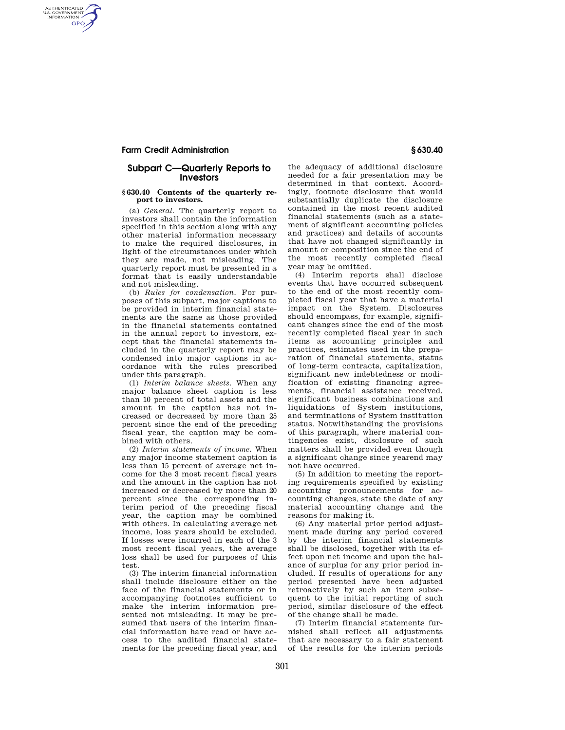## **Farm Credit Administration § 630.40**

AUTHENTICATED<br>U.S. GOVERNMENT<br>INFORMATION **GPO** 

## **Subpart C—Quarterly Reports to Investors**

## **§ 630.40 Contents of the quarterly report to investors.**

(a) *General.* The quarterly report to investors shall contain the information specified in this section along with any other material information necessary to make the required disclosures, in light of the circumstances under which they are made, not misleading. The quarterly report must be presented in a format that is easily understandable and not misleading.

(b) *Rules for condensation.* For purposes of this subpart, major captions to be provided in interim financial statements are the same as those provided in the financial statements contained in the annual report to investors, except that the financial statements included in the quarterly report may be condensed into major captions in accordance with the rules prescribed under this paragraph.

(1) *Interim balance sheets.* When any major balance sheet caption is less than 10 percent of total assets and the amount in the caption has not increased or decreased by more than 25 percent since the end of the preceding fiscal year, the caption may be combined with others.

(2) *Interim statements of income.* When any major income statement caption is less than 15 percent of average net income for the 3 most recent fiscal years and the amount in the caption has not increased or decreased by more than 20 percent since the corresponding interim period of the preceding fiscal year, the caption may be combined with others. In calculating average net income, loss years should be excluded. If losses were incurred in each of the 3 most recent fiscal years, the average loss shall be used for purposes of this test.

(3) The interim financial information shall include disclosure either on the face of the financial statements or in accompanying footnotes sufficient to make the interim information presented not misleading. It may be presumed that users of the interim financial information have read or have access to the audited financial statements for the preceding fiscal year, and

the adequacy of additional disclosure needed for a fair presentation may be determined in that context. Accordingly, footnote disclosure that would substantially duplicate the disclosure contained in the most recent audited financial statements (such as a statement of significant accounting policies and practices) and details of accounts that have not changed significantly in amount or composition since the end of the most recently completed fiscal year may be omitted.

(4) Interim reports shall disclose events that have occurred subsequent to the end of the most recently completed fiscal year that have a material impact on the System. Disclosures should encompass, for example, significant changes since the end of the most recently completed fiscal year in such items as accounting principles and practices, estimates used in the preparation of financial statements, status of long-term contracts, capitalization, significant new indebtedness or modification of existing financing agreements, financial assistance received, significant business combinations and liquidations of System institutions, and terminations of System institution status. Notwithstanding the provisions of this paragraph, where material contingencies exist, disclosure of such matters shall be provided even though a significant change since yearend may not have occurred.

(5) In addition to meeting the reporting requirements specified by existing accounting pronouncements for accounting changes, state the date of any material accounting change and the reasons for making it.

(6) Any material prior period adjustment made during any period covered by the interim financial statements shall be disclosed, together with its effect upon net income and upon the balance of surplus for any prior period included. If results of operations for any period presented have been adjusted retroactively by such an item subsequent to the initial reporting of such period, similar disclosure of the effect of the change shall be made.

(7) Interim financial statements furnished shall reflect all adjustments that are necessary to a fair statement of the results for the interim periods